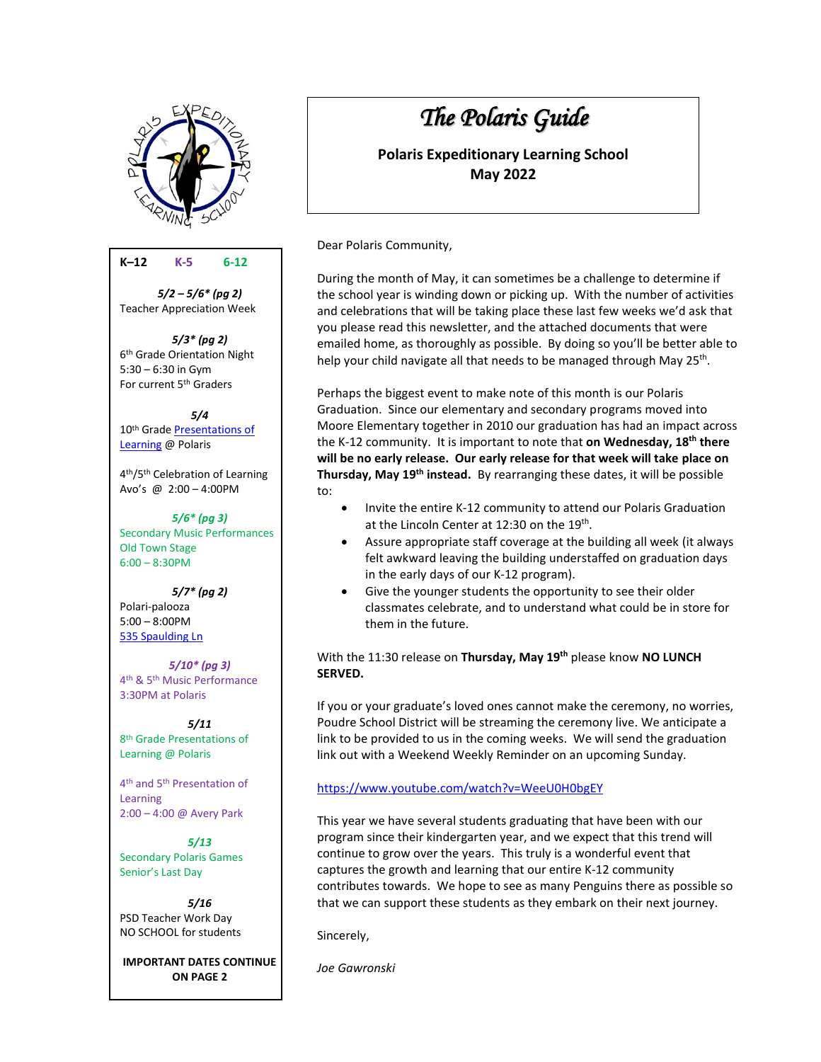

### **K–12 K-5****6-12**

*5/2 – 5/6\* (pg 2)* Teacher Appreciation Week

*5/3\* (pg 2)* 6 th Grade Orientation Night 5:30 – 6:30 in Gym For current 5th Graders

*5/4* 10th Grade [Presentations of](https://pol.psdschools.org/pol/about-us/expeditionary-learning/presentations-learning-pols)  [Learning](https://pol.psdschools.org/pol/about-us/expeditionary-learning/presentations-learning-pols) @ Polaris

4 th/5th Celebration of Learning Avo's @ 2:00 – 4:00PM

*5/6\* (pg 3)* Secondary Music Performances Old Town Stage 6:00 – 8:30PM

*5/7\* (pg 2)* Polari-palooza 5:00 – 8:00PM 535 [Spaulding Ln](https://www.google.com/maps/place/535+Spaulding+Ln,+Fort+Collins,+CO+80524/@40.6138976,-105.0702369,732m/data=!3m1!1e3!4m5!3m4!1s0x8769357b4e5aad53:0xb41c95ed90b2e78e!8m2!3d40.6138976!4d-105.0680482)

*5/10\* (pg 3)* 4 th & 5th Music Performance 3:30PM at Polaris

*5/11* 8 th Grade Presentations of Learning @ Polaris

4 th and 5th Presentation of Learning 2:00 – 4:00 @ Avery Park

*5/13* Secondary Polaris Games Senior's Last Day

*5/16* PSD Teacher Work Day NO SCHOOL for students

**IMPORTANT DATES CONTINUE ON PAGE 2**

# *The Polaris Guide*

**Polaris Expeditionary Learning School May 2022**

Dear Polaris Community,

During the month of May, it can sometimes be a challenge to determine if the school year is winding down or picking up. With the number of activities and celebrations that will be taking place these last few weeks we'd ask that you please read this newsletter, and the attached documents that were emailed home, as thoroughly as possible. By doing so you'll be better able to help your child navigate all that needs to be managed through May 25<sup>th</sup>.

Perhaps the biggest event to make note of this month is our Polaris Graduation. Since our elementary and secondary programs moved into Moore Elementary together in 2010 our graduation has had an impact across the K-12 community. It is important to note that **on Wednesday, 18th there will be no early release. Our early release for that week will take place on Thursday, May 19th instead.** By rearranging these dates, it will be possible to:

- Invite the entire K-12 community to attend our Polaris Graduation at the Lincoln Center at 12:30 on the 19<sup>th</sup>.
- Assure appropriate staff coverage at the building all week (it always felt awkward leaving the building understaffed on graduation days in the early days of our K-12 program).
- Give the younger students the opportunity to see their older classmates celebrate, and to understand what could be in store for them in the future.

#### With the 11:30 release on **Thursday, May 19th** please know **NO LUNCH SERVED.**

If you or your graduate's loved ones cannot make the ceremony, no worries, Poudre School District will be streaming the ceremony live. We anticipate a link to be provided to us in the coming weeks. We will send the graduation link out with a Weekend Weekly Reminder on an upcoming Sunday.

#### [https://www.youtube.com/watch?v=WeeU0H0bgEY](https://nam05.safelinks.protection.outlook.com/?url=https%3A%2F%2Fwww.youtube.com%2Fwatch%3Fv%3DWeeU0H0bgEY&data=02%7C01%7Cjoeg%40psdschools.org%7Cf16fbcfb603d4da1438208d6ce3a53d9%7C0d6d846ceadd4b6cb03ef15cd4b7e9cf%7C0%7C0%7C636923147244951020&sdata=tv1%2Fe2UDC4G2pRmjJ7iygO9S0BFcUR75a6ob%2B30tERg%3D&reserved=0)

This year we have several students graduating that have been with our program since their kindergarten year, and we expect that this trend will continue to grow over the years. This truly is a wonderful event that captures the growth and learning that our entire K-12 community contributes towards. We hope to see as many Penguins there as possible so that we can support these students as they embark on their next journey.

Sincerely,

*Joe Gawronski*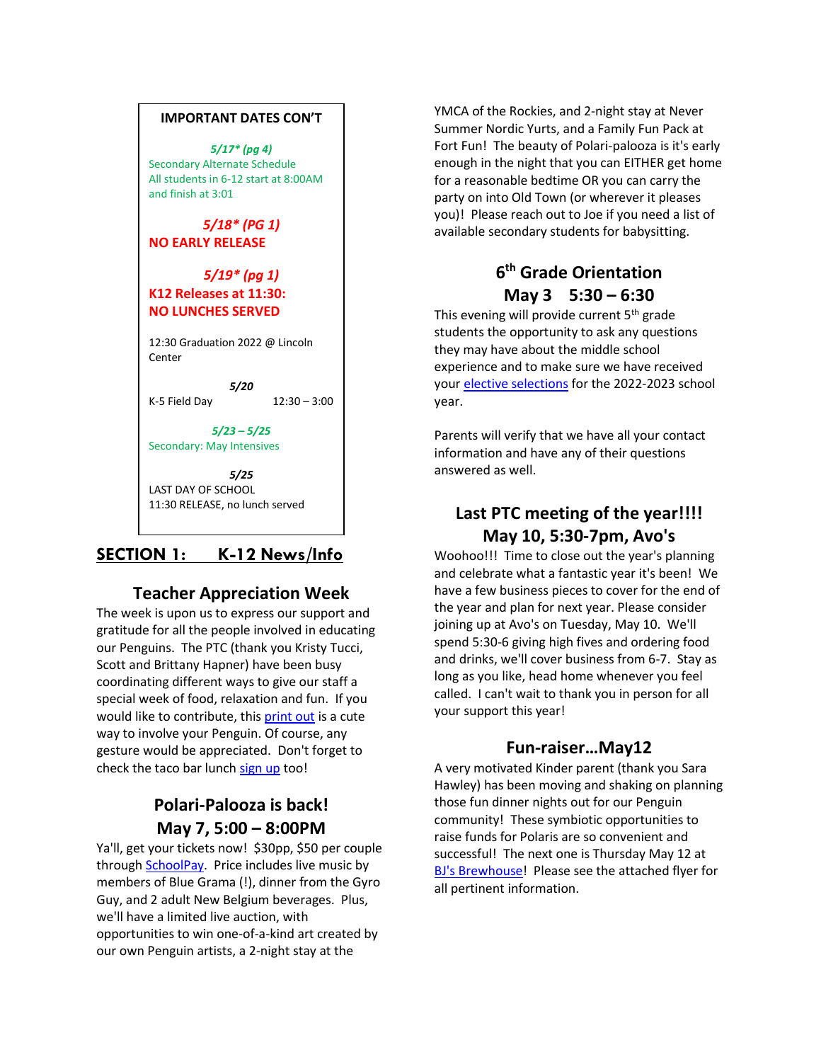#### **IMPORTANT DATES CON'T**

*5/17\* (pg 4)* Secondary Alternate Schedule All students in 6-12 start at 8:00AM and finish at 3:01

*5/18\* (PG 1)* **NO EARLY RELEASE**

#### *5/19\* (pg 1)* **K12 Releases at 11:30: NO LUNCHES SERVED**

12:30 Graduation 2022 @ Lincoln Center

*5/20* K-5 Field Day 12:30 – 3:00

*5/23 – 5/25* Secondary: May Intensives

*5/25* LAST DAY OF SCHOOL 11:30 RELEASE, no lunch served

### **SECTION 1: K-12 News/Info**

### **Teacher Appreciation Week**

The week is upon us to express our support and gratitude for all the people involved in educating our Penguins. The PTC (thank you Kristy Tucci, Scott and Brittany Hapner) have been busy coordinating different ways to give our staff a special week of food, relaxation and fun. If you would like to contribute, this [print out](https://nam12.safelinks.protection.outlook.com/?url=https%3A%2F%2Fwww.thesuburbanmom.com%2Fwp-content%2Fuploads%2F2015%2F04%2FThank-You-Teacher-Free-Printable-1.jpg&data=05%7C01%7Cjoeg%40psdschools.org%7C76223f8d90a44a8ac55f08da28d0b119%7C0d6d846ceadd4b6cb03ef15cd4b7e9cf%7C0%7C0%7C637867175072360209%7CUnknown%7CTWFpbGZsb3d8eyJWIjoiMC4wLjAwMDAiLCJQIjoiV2luMzIiLCJBTiI6Ik1haWwiLCJXVCI6Mn0%3D%7C2000%7C%7C%7C&sdata=oy72%2F3nGLkgBvvfhUfJQdkAvdRIJnzrYeMi0mN7QUuA%3D&reserved=0) is a cute way to involve your Penguin. Of course, any gesture would be appreciated. Don't forget to check the taco bar lunc[h sign up](https://nam12.safelinks.protection.outlook.com/?url=http%3A%2F%2Ftrack.spe.schoolmessenger.com%2Ff%2Fa%2FTaBZxKm4BbxzM1-AaNQibw~~%2FAAAAAQA~%2FRgRkRxgaP0Q4aHR0cHM6Ly93d3cuc2lnbnVwZ2VuaXVzLmNvbS9nby85MDQwYTQ4YWZhODI4YTEzLXBvbGFyaXNXB3NjaG9vbG1CCmJhmuRlYsTsTYVSFmF1dGlyZXlub2xkc0B5YWhvby5jb21YBAAAAAE~&data=05%7C01%7Cjoeg%40psdschools.org%7C76223f8d90a44a8ac55f08da28d0b119%7C0d6d846ceadd4b6cb03ef15cd4b7e9cf%7C0%7C0%7C637867175072360209%7CUnknown%7CTWFpbGZsb3d8eyJWIjoiMC4wLjAwMDAiLCJQIjoiV2luMzIiLCJBTiI6Ik1haWwiLCJXVCI6Mn0%3D%7C2000%7C%7C%7C&sdata=QVQMNo7o6VBsjBdIiOlk7V%2B7SLJOzyt9q4NYrQ9jnes%3D&reserved=0) too!

### **Polari-Palooza is back! May 7, 5:00 – 8:00PM**

Ya'll, get your tickets now! \$30pp, \$50 per couple throug[h SchoolPay.](https://www.schoolpay.com/pay/for/Polaris-Palooza-/ScPi1t1) Price includes live music by members of Blue Grama (!), dinner from the Gyro Guy, and 2 adult New Belgium beverages. Plus, we'll have a limited live auction, with opportunities to win one-of-a-kind art created by our own Penguin artists, a 2-night stay at the

YMCA of the Rockies, and 2-night stay at Never Summer Nordic Yurts, and a Family Fun Pack at Fort Fun! The beauty of Polari-palooza is it's early enough in the night that you can EITHER get home for a reasonable bedtime OR you can carry the party on into Old Town (or wherever it pleases you)! Please reach out to Joe if you need a list of available secondary students for babysitting.

### **6 th Grade Orientation May 3 5:30 – 6:30**

This evening will provide current 5<sup>th</sup> grade students the opportunity to ask any questions they may have about the middle school experience and to make sure we have received your [elective selections](https://docs.google.com/forms/d/e/1FAIpQLSeEC3EBHPNk6MwaFkhafjwL-vfmwIgyAuK9_8N0JGagPwNx1A/viewform) for the 2022-2023 school year.

Parents will verify that we have all your contact information and have any of their questions answered as well.

# **Last PTC meeting of the year!!!! May 10, 5:30-7pm, Avo's**

Woohoo!!! Time to close out the year's planning and celebrate what a fantastic year it's been! We have a few business pieces to cover for the end of the year and plan for next year. Please consider joining up at Avo's on Tuesday, May 10. We'll spend 5:30-6 giving high fives and ordering food and drinks, we'll cover business from 6-7. Stay as long as you like, head home whenever you feel called. I can't wait to thank you in person for all your support this year!

### **Fun-raiser…May12**

A very motivated Kinder parent (thank you Sara Hawley) has been moving and shaking on planning those fun dinner nights out for our Penguin community! These symbiotic opportunities to raise funds for Polaris are so convenient and successful! The next one is Thursday May 12 at [BJ's Brewhouse!](https://www.bjsrestaurants.com/locations/co/fort-collins) Please see the attached flyer for all pertinent information.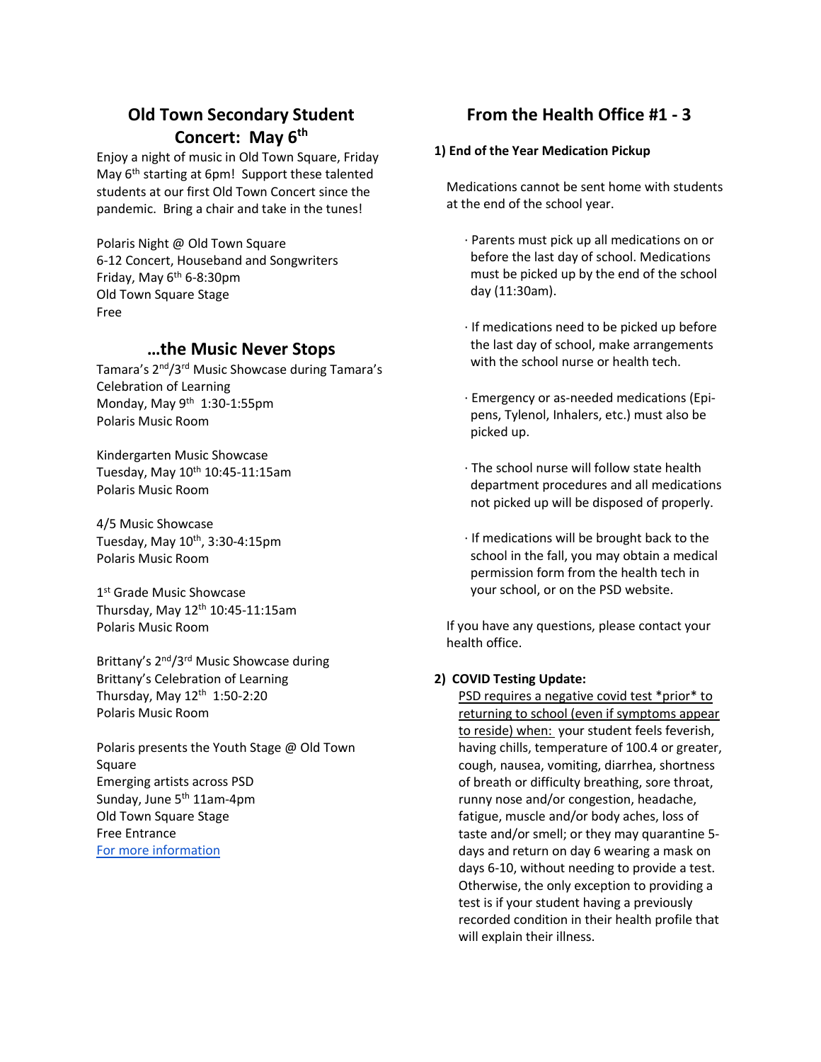# **Old Town Secondary Student Concert: May 6th**

Enjoy a night of music in Old Town Square, Friday May 6<sup>th</sup> starting at 6pm! Support these talented students at our first Old Town Concert since the pandemic. Bring a chair and take in the tunes!

Polaris Night @ Old Town Square 6-12 Concert, Houseband and Songwriters Friday, May 6<sup>th</sup> 6-8:30pm Old Town Square Stage Free

### **…the Music Never Stops**

Tamara's 2nd/3rd Music Showcase during Tamara's Celebration of Learning Monday, May 9th 1:30-1:55pm Polaris Music Room

Kindergarten Music Showcase Tuesday, May  $10^{th}$  10:45-11:15am Polaris Music Room

4/5 Music Showcase Tuesday, May  $10^{th}$ , 3:30-4:15pm Polaris Music Room

1st Grade Music Showcase Thursday, May  $12<sup>th</sup> 10:45-11:15am$ Polaris Music Room

Brittany's 2<sup>nd</sup>/3<sup>rd</sup> Music Showcase during Brittany's Celebration of Learning Thursday, May  $12<sup>th</sup> 1:50-2:20$ Polaris Music Room

Polaris presents the Youth Stage @ Old Town Square Emerging artists across PSD Sunday, June 5<sup>th</sup> 11am-4pm Old Town Square Stage Free Entrance [For more information](https://nam12.safelinks.protection.outlook.com/?url=https%3A%2F%2Fsites.google.com%2Fpsdschools.org%2Fpolarispresentstheyouthstage%2Fhome&data=05%7C01%7Cjoeg%40psdschools.org%7Cdd6b58184b164f63ab5508da292f4b58%7C0d6d846ceadd4b6cb03ef15cd4b7e9cf%7C0%7C0%7C637867580346873938%7CUnknown%7CTWFpbGZsb3d8eyJWIjoiMC4wLjAwMDAiLCJQIjoiV2luMzIiLCJBTiI6Ik1haWwiLCJXVCI6Mn0%3D%7C3000%7C%7C%7C&sdata=mcAEfiDDC2SxNc3eNx1ifMgbb3N8sSJY9QmKtUtSKZI%3D&reserved=0)

# **From the Health Office #1 - 3**

#### **1) End of the Year Medication Pickup**

Medications cannot be sent home with students at the end of the school year.

- · Parents must pick up all medications on or before the last day of school. Medications must be picked up by the end of the school day (11:30am).
- · If medications need to be picked up before the last day of school, make arrangements with the school nurse or health tech.
- · Emergency or as-needed medications (Epipens, Tylenol, Inhalers, etc.) must also be picked up.
- · The school nurse will follow state health department procedures and all medications not picked up will be disposed of properly.
- · If medications will be brought back to the school in the fall, you may obtain a medical permission form from the health tech in your school, or on the PSD website.

If you have any questions, please contact your health office.

### **2) COVID Testing Update:**

PSD requires a negative covid test \*prior\* to returning to school (even if symptoms appear to reside) when: your student feels feverish, having chills, temperature of 100.4 or greater, cough, nausea, vomiting, diarrhea, shortness of breath or difficulty breathing, sore throat, runny nose and/or congestion, headache, fatigue, muscle and/or body aches, loss of taste and/or smell; or they may quarantine 5 days and return on day 6 wearing a mask on days 6-10, without needing to provide a test. Otherwise, the only exception to providing a test is if your student having a previously recorded condition in their health profile that will explain their illness.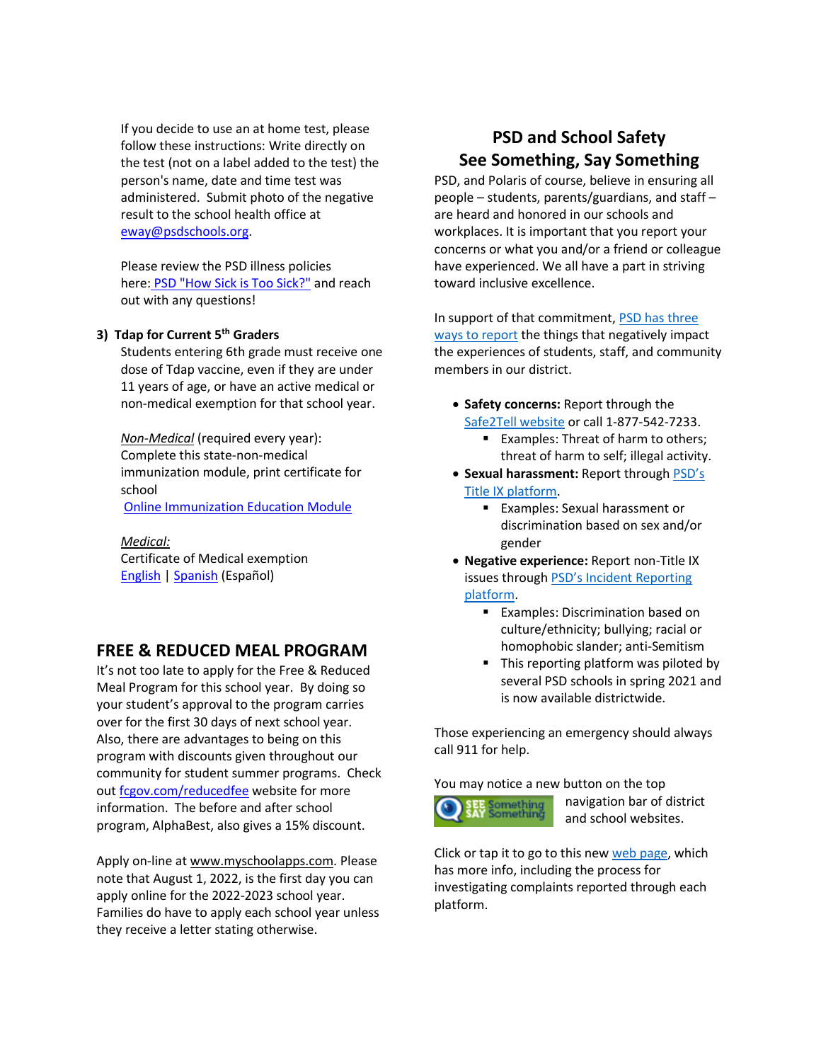If you decide to use an at home test, please follow these instructions: Write directly on the test (not on a label added to the test) the person's name, date and time test was administered. Submit photo of the negative result to the school health office at [eway@psdschools.org.](mailto:eway@psdschools.org)

Please review the PSD illness policies here: [PSD "How Sick is Too Sick?"](https://www.psdschools.org/sites/default/files/PSD/communications/2021-22%20School%20Year/COVID%20Updates/2021-22_PSD-COVID-Return-to-Learn-protocol3.25.22%20(1).pdf) and reach out with any questions!

#### **3) Tdap for Current 5th Graders**

Students entering 6th grade must receive one dose of Tdap vaccine, even if they are under 11 years of age, or have an active medical or non-medical exemption for that school year.

*Non-Medical* (required every year): Complete this state-non-medical immunization module, print certificate for school

[Online Immunization Education Module](https://nam12.safelinks.protection.outlook.com/?url=https%3A%2F%2Fwww.dcphrapps.dphe.state.co.us%2Fstoryline360%2Fstory.html&data=05%7C01%7Cjoeg%40psdschools.org%7C0c3a28d853de4f5b57e908da23b4acb4%7C0d6d846ceadd4b6cb03ef15cd4b7e9cf%7C0%7C0%7C637861556156736503%7CUnknown%7CTWFpbGZsb3d8eyJWIjoiMC4wLjAwMDAiLCJQIjoiV2luMzIiLCJBTiI6Ik1haWwiLCJXVCI6Mn0%3D%7C3000%7C%7C%7C&sdata=rKJ9m9Klakp0jTcVepR2bgNWfPfpjWZMbaECELJKbVQ%3D&reserved=0)

*Medical:* Certificate of Medical exemption [English](https://nam12.safelinks.protection.outlook.com/?url=https%3A%2F%2Fdrive.google.com%2Ffile%2Fd%2F1PnMIMIP8j0exYai6-sF9AW4vkzRMeL6F%2Fview%3Fusp%3Dsharing&data=05%7C01%7Cjoeg%40psdschools.org%7C0c3a28d853de4f5b57e908da23b4acb4%7C0d6d846ceadd4b6cb03ef15cd4b7e9cf%7C0%7C0%7C637861556156736503%7CUnknown%7CTWFpbGZsb3d8eyJWIjoiMC4wLjAwMDAiLCJQIjoiV2luMzIiLCJBTiI6Ik1haWwiLCJXVCI6Mn0%3D%7C3000%7C%7C%7C&sdata=frS%2FR0bRO9y6%2B5pGO2uMkau%2FG8ZtJ6v0FXrVU0eIj9s%3D&reserved=0) | [Spanish](https://nam12.safelinks.protection.outlook.com/?url=https%3A%2F%2Fdrive.google.com%2Ffile%2Fd%2F1oJrGRV_iGd54vUE9PH7HN0FJG_0tXmzu%2Fview%3Fusp%3Dsharing&data=05%7C01%7Cjoeg%40psdschools.org%7C0c3a28d853de4f5b57e908da23b4acb4%7C0d6d846ceadd4b6cb03ef15cd4b7e9cf%7C0%7C0%7C637861556156736503%7CUnknown%7CTWFpbGZsb3d8eyJWIjoiMC4wLjAwMDAiLCJQIjoiV2luMzIiLCJBTiI6Ik1haWwiLCJXVCI6Mn0%3D%7C3000%7C%7C%7C&sdata=sm1S901UnAA425DHvVhSmQx7JqmyI%2FaLE3pID2lQCQA%3D&reserved=0) (Español)

### **FREE & REDUCED MEAL PROGRAM**

It's not too late to apply for the Free & Reduced Meal Program for this school year. By doing so your student's approval to the program carries over for the first 30 days of next school year. Also, there are advantages to being on this program with discounts given throughout our community for student summer programs. Check out [fcgov.com/reducedfee](https://www.fcgov.com/recreation/reducedfeeprogram) website for more information. The before and after school program, AlphaBest, also gives a 15% discount.

Apply on-line at www.myschoolapps.com. Please note that August 1, 2022, is the first day you can apply online for the 2022-2023 school year. Families do have to apply each school year unless they receive a letter stating otherwise.

# **PSD and School Safety See Something, Say Something**

PSD, and Polaris of course, believe in ensuring all people – students, parents/guardians, and staff – are heard and honored in our schools and workplaces. It is important that you report your concerns or what you and/or a friend or colleague have experienced. We all have a part in striving toward inclusive excellence.

In support of that commitment[, PSD has three](https://www.psdschools.org/seesaysomething)  [ways to report](https://www.psdschools.org/seesaysomething) the things that negatively impact the experiences of students, staff, and community members in our district.

- **Safety concerns:** Report through the [Safe2Tell website](https://safe2tell.org/make-report) or call 1-877-542-7233.
	- Examples: Threat of harm to others; threat of harm to self; illegal activity.
- **Sexual harassment:** Report through [PSD's](https://incidentreport.psdschools.org/)  [Title IX platform.](https://incidentreport.psdschools.org/)
	- Examples: Sexual harassment or discrimination based on sex and/or gender
- **Negative experience:** Report non-Title IX issues through [PSD's Incident Reporting](https://incidentreport.psdschools.org/)  [platform.](https://incidentreport.psdschools.org/)
	- Examples: Discrimination based on culture/ethnicity; bullying; racial or homophobic slander; anti-Semitism
	- This reporting platform was piloted by several PSD schools in spring 2021 and is now available districtwide.

Those experiencing an emergency should always call 911 for help.

You may notice a new button on the top **SEE Something**<br>**SAY Something** 

navigation bar of district and school websites.

Click or tap it to go to this new [web page,](https://www.psdschools.org/seesaysomething) which has more info, including the process for investigating complaints reported through each platform.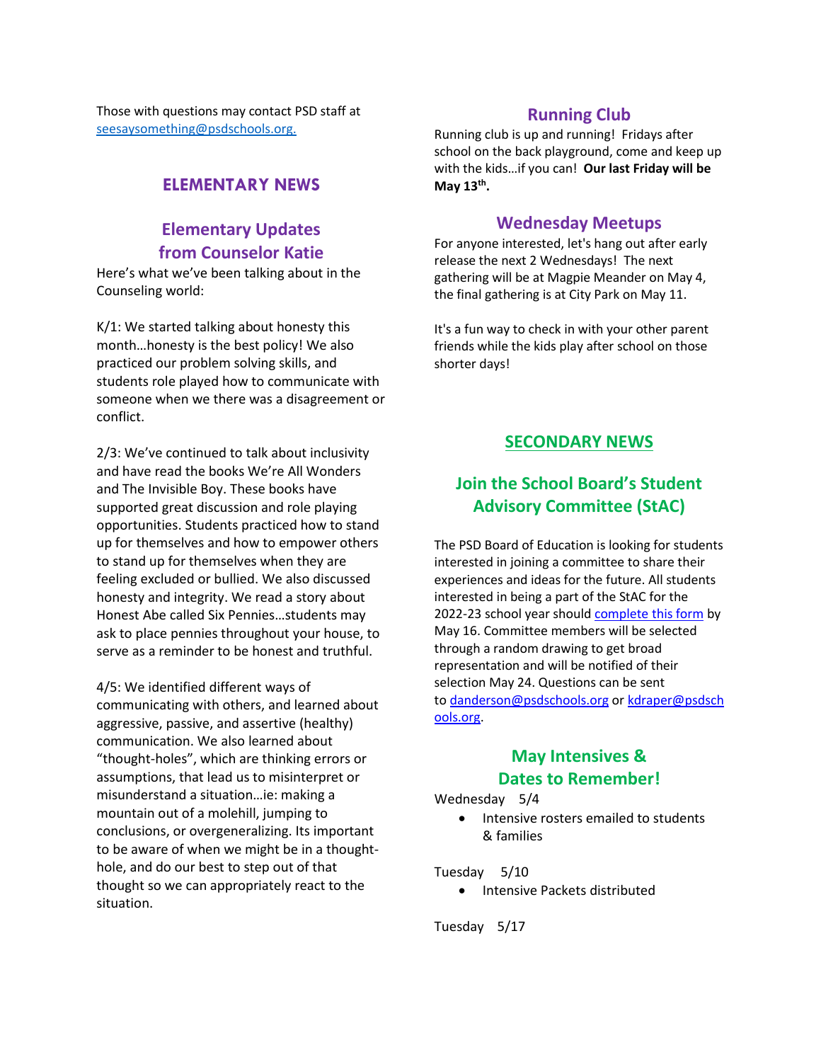Those with questions may contact PSD staff at [seesaysomething@psdschools.org.](mailto:seesaysomething@psdschools.org)

### **ELEMENTARY NEWS**

### **Elementary Updates from Counselor Katie**

Here's what we've been talking about in the Counseling world:

K/1: We started talking about honesty this month…honesty is the best policy! We also practiced our problem solving skills, and students role played how to communicate with someone when we there was a disagreement or conflict.

2/3: We've continued to talk about inclusivity and have read the books We're All Wonders and The Invisible Boy. These books have supported great discussion and role playing opportunities. Students practiced how to stand up for themselves and how to empower others to stand up for themselves when they are feeling excluded or bullied. We also discussed honesty and integrity. We read a story about Honest Abe called Six Pennies…students may ask to place pennies throughout your house, to serve as a reminder to be honest and truthful.

4/5: We identified different ways of communicating with others, and learned about aggressive, passive, and assertive (healthy) communication. We also learned about "thought-holes", which are thinking errors or assumptions, that lead us to misinterpret or misunderstand a situation…ie: making a mountain out of a molehill, jumping to conclusions, or overgeneralizing. Its important to be aware of when we might be in a thoughthole, and do our best to step out of that thought so we can appropriately react to the situation.

### **Running Club**

Running club is up and running! Fridays after school on the back playground, come and keep up with the kids…if you can! **Our last Friday will be May 13th .** 

#### **Wednesday Meetups**

For anyone interested, let's hang out after early release the next 2 Wednesdays! The next gathering will be at Magpie Meander on May 4, the final gathering is at City Park on May 11.

It's a fun way to check in with your other parent friends while the kids play after school on those shorter days!

### **SECONDARY NEWS**

### **Join the School Board's Student Advisory Committee (StAC)**

The PSD Board of Education is looking for students interested in joining a committee to share their experiences and ideas for the future. All students interested in being a part of the StAC for the 2022-23 school year should [complete this form](https://nam12.safelinks.protection.outlook.com/?url=https%3A%2F%2Fforms.gle%2FbykzqAxucGDeJdPF9&data=04%7C01%7Cjoeg%40psdschools.org%7C709a2e57ceae495f25fa08da1c07c5c8%7C0d6d846ceadd4b6cb03ef15cd4b7e9cf%7C0%7C0%7C637853116956737073%7CUnknown%7CTWFpbGZsb3d8eyJWIjoiMC4wLjAwMDAiLCJQIjoiV2luMzIiLCJBTiI6Ik1haWwiLCJXVCI6Mn0%3D%7C3000&sdata=%2FaiNuxphu28MPMSP%2FwfmqjuP43LpWHNcfM6y7Hfr6QY%3D&reserved=0) by May 16. Committee members will be selected through a random drawing to get broad representation and will be notified of their selection May 24. Questions can be sent to [danderson@psdschools.org](mailto:danderson@psdschools.org) or [kdraper@psdsch](mailto:kdraper@psdschools.org) [ools.org.](mailto:kdraper@psdschools.org)

### **May Intensives & Dates to Remember!**

#### Wednesday 5/4

• Intensive rosters emailed to students & families

#### Tuesday 5/10

• Intensive Packets distributed

Tuesday 5/17